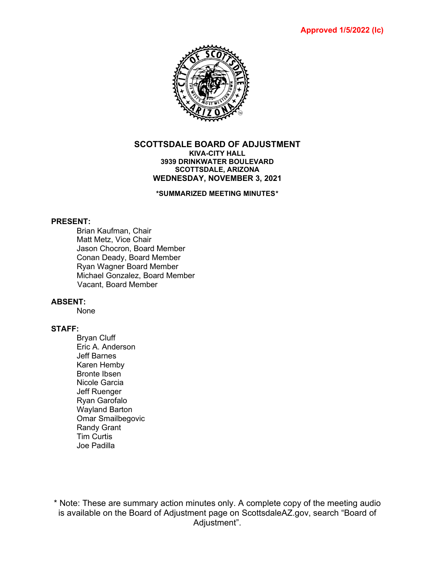

#### **SCOTTSDALE BOARD OF ADJUSTMENT KIVA-CITY HALL 3939 DRINKWATER BOULEVARD SCOTTSDALE, ARIZONA WEDNESDAY, NOVEMBER 3, 2021**

**\*SUMMARIZED MEETING MINUTES\***

#### **PRESENT:**

Brian Kaufman, Chair Matt Metz, Vice Chair Jason Chocron, Board Member Conan Deady, Board Member Ryan Wagner Board Member Michael Gonzalez, Board Member Vacant, Board Member

#### **ABSENT:**

None

## **STAFF:**

Bryan Cluff Eric A. Anderson Jeff Barnes Karen Hemby Bronte Ibsen Nicole Garcia Jeff Ruenger Ryan Garofalo Wayland Barton Omar Smailbegovic Randy Grant Tim Curtis Joe Padilla

\* Note: These are summary action minutes only. A complete copy of the meeting audio is available on the Board of Adjustment page on ScottsdaleAZ.gov, search "Board of Adjustment".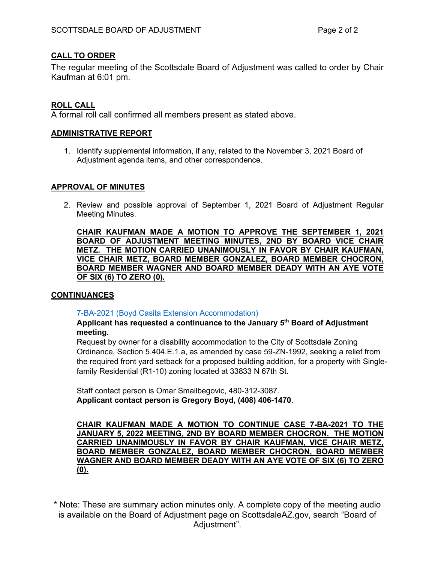## **CALL TO ORDER**

The regular meeting of the Scottsdale Board of Adjustment was called to order by Chair Kaufman at 6:01 pm.

# **ROLL CALL**

A formal roll call confirmed all members present as stated above.

#### **ADMINISTRATIVE REPORT**

1. Identify supplemental information, if any, related to the November 3, 2021 Board of Adjustment agenda items, and other correspondence.

#### **APPROVAL OF MINUTES**

2. Review and possible approval of September 1, 2021 Board of Adjustment Regular Meeting Minutes.

**CHAIR KAUFMAN MADE A MOTION TO APPROVE THE SEPTEMBER 1, 2021 BOARD OF ADJUSTMENT MEETING MINUTES, 2ND BY BOARD VICE CHAIR METZ. THE MOTION CARRIED UNANIMOUSLY IN FAVOR BY CHAIR KAUFMAN, VICE CHAIR METZ, BOARD MEMBER GONZALEZ, BOARD MEMBER CHOCRON, BOARD MEMBER WAGNER AND BOARD MEMBER DEADY WITH AN AYE VOTE OF SIX (6) TO ZERO (0).** 

#### **CONTINUANCES**

[7-BA-2021 \(Boyd Casita Extension Accommodation\)](https://eservices.scottsdaleaz.gov/planning/projectsummary/ba_reports/BA_7_BA_2021.pdf)

**Applicant has requested a continuance to the January 5th Board of Adjustment meeting.**

Request by owner for a disability accommodation to the City of Scottsdale Zoning Ordinance, Section 5.404.E.1.a, as amended by case 59-ZN-1992, seeking a relief from the required front yard setback for a proposed building addition, for a property with Singlefamily Residential (R1-10) zoning located at 33833 N 67th St.

Staff contact person is Omar Smailbegovic, 480-312-3087. **Applicant contact person is Gregory Boyd, (408) 406-1470**.

**CHAIR KAUFMAN MADE A MOTION TO CONTINUE CASE 7-BA-2021 TO THE JANUARY 5, 2022 MEETING, 2ND BY BOARD MEMBER CHOCRON. THE MOTION CARRIED UNANIMOUSLY IN FAVOR BY CHAIR KAUFMAN, VICE CHAIR METZ, BOARD MEMBER GONZALEZ, BOARD MEMBER CHOCRON, BOARD MEMBER WAGNER AND BOARD MEMBER DEADY WITH AN AYE VOTE OF SIX (6) TO ZERO (0).** 

\* Note: These are summary action minutes only. A complete copy of the meeting audio is available on the Board of Adjustment page on ScottsdaleAZ.gov, search "Board of Adiustment".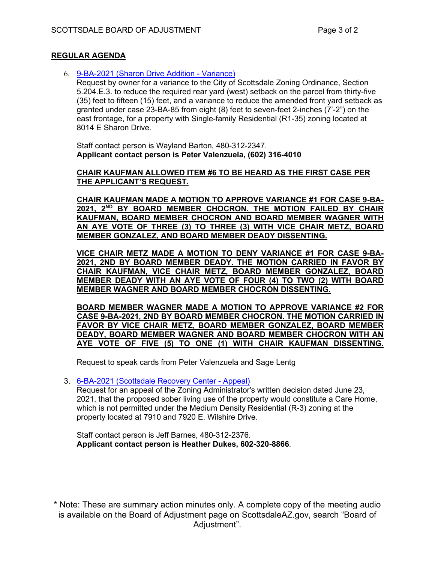#### **REGULAR AGENDA**

6. [9-BA-2021 \(Sharon Drive Addition -](https://eservices.scottsdaleaz.gov/planning/projectsummary/ba_reports/BA_9_BA_2021.pdf) Variance)

Request by owner for a variance to the City of Scottsdale Zoning Ordinance, Section 5.204.E.3. to reduce the required rear yard (west) setback on the parcel from thirty-five (35) feet to fifteen (15) feet, and a variance to reduce the amended front yard setback as granted under case 23-BA-85 from eight (8) feet to seven-feet 2-inches (7'-2") on the east frontage, for a property with Single-family Residential (R1-35) zoning located at 8014 E Sharon Drive.

Staff contact person is Wayland Barton, 480-312-2347. **Applicant contact person is Peter Valenzuela, (602) 316-4010**

#### **CHAIR KAUFMAN ALLOWED ITEM #6 TO BE HEARD AS THE FIRST CASE PER THE APPLICANT'S REQUEST.**

**CHAIR KAUFMAN MADE A MOTION TO APPROVE VARIANCE #1 FOR CASE 9-BA-2021, 2ND BY BOARD MEMBER CHOCRON. THE MOTION FAILED BY CHAIR KAUFMAN, BOARD MEMBER CHOCRON AND BOARD MEMBER WAGNER WITH AN AYE VOTE OF THREE (3) TO THREE (3) WITH VICE CHAIR METZ, BOARD MEMBER GONZALEZ, AND BOARD MEMBER DEADY DISSENTING.**

**VICE CHAIR METZ MADE A MOTION TO DENY VARIANCE #1 FOR CASE 9-BA-2021, 2ND BY BOARD MEMBER DEADY. THE MOTION CARRIED IN FAVOR BY CHAIR KAUFMAN, VICE CHAIR METZ, BOARD MEMBER GONZALEZ, BOARD MEMBER DEADY WITH AN AYE VOTE OF FOUR (4) TO TWO (2) WITH BOARD MEMBER WAGNER AND BOARD MEMBER CHOCRON DISSENTING.** 

**BOARD MEMBER WAGNER MADE A MOTION TO APPROVE VARIANCE #2 FOR CASE 9-BA-2021, 2ND BY BOARD MEMBER CHOCRON. THE MOTION CARRIED IN FAVOR BY VICE CHAIR METZ, BOARD MEMBER GONZALEZ, BOARD MEMBER DEADY, BOARD MEMBER WAGNER AND BOARD MEMBER CHOCRON WITH AN AYE VOTE OF FIVE (5) TO ONE (1) WITH CHAIR KAUFMAN DISSENTING.** 

Request to speak cards from Peter Valenzuela and Sage Lentg

#### 3. [6-BA-2021 \(Scottsdale Recovery Center -](https://eservices.scottsdaleaz.gov/planning/projectsummary/ba_reports/BA_6_BA_2021.pdf) Appeal)

Request for an appeal of the Zoning Administrator's written decision dated June 23, 2021, that the proposed sober living use of the property would constitute a Care Home, which is not permitted under the Medium Density Residential (R-3) zoning at the property located at 7910 and 7920 E. Wilshire Drive.

Staff contact person is Jeff Barnes, 480-312-2376. **Applicant contact person is Heather Dukes, 602-320-8866**.

\* Note: These are summary action minutes only. A complete copy of the meeting audio is available on the Board of Adjustment page on ScottsdaleAZ.gov, search "Board of Adiustment".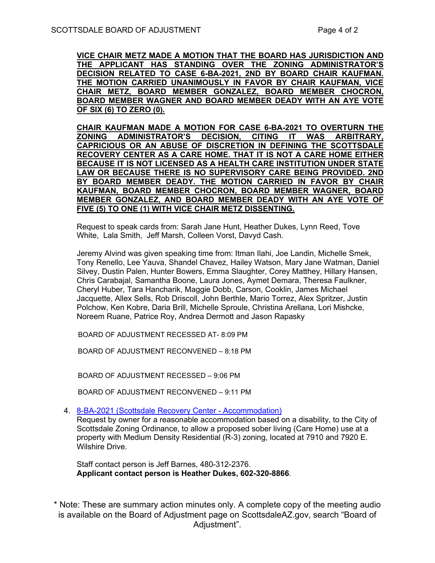**VICE CHAIR METZ MADE A MOTION THAT THE BOARD HAS JURISDICTION AND THE APPLICANT HAS STANDING OVER THE ZONING ADMINISTRATOR'S DECISION RELATED TO CASE 6-BA-2021, 2ND BY BOARD CHAIR KAUFMAN. THE MOTION CARRIED UNANIMOUSLY IN FAVOR BY CHAIR KAUFMAN, VICE CHAIR METZ, BOARD MEMBER GONZALEZ, BOARD MEMBER CHOCRON, BOARD MEMBER WAGNER AND BOARD MEMBER DEADY WITH AN AYE VOTE OF SIX (6) TO ZERO (0).** 

**CHAIR KAUFMAN MADE A MOTION FOR CASE 6-BA-2021 TO OVERTURN THE ZONING ADMINISTRATOR'S DECISION, CITING IT WAS ARBITRARY, CAPRICIOUS OR AN ABUSE OF DISCRETION IN DEFINING THE SCOTTSDALE RECOVERY CENTER AS A CARE HOME. THAT IT IS NOT A CARE HOME EITHER BECAUSE IT IS NOT LICENSED AS A HEALTH CARE INSTITUTION UNDER STATE LAW OR BECAUSE THERE IS NO SUPERVISORY CARE BEING PROVIDED. 2ND BY BOARD MEMBER DEADY. THE MOTION CARRIED IN FAVOR BY CHAIR KAUFMAN, BOARD MEMBER CHOCRON, BOARD MEMBER WAGNER, BOARD MEMBER GONZALEZ, AND BOARD MEMBER DEADY WITH AN AYE VOTE OF FIVE (5) TO ONE (1) WITH VICE CHAIR METZ DISSENTING.** 

Request to speak cards from: Sarah Jane Hunt, Heather Dukes, Lynn Reed, Tove White, Lala Smith, Jeff Marsh, Colleen Vorst, Davyd Cash.

Jeremy Alvind was given speaking time from: Itman Ilahi, Joe Landin, Michelle Smek, Tony Renello, Lee Yauva, Shandel Chavez, Hailey Watson, Mary Jane Watman, Daniel Silvey, Dustin Palen, Hunter Bowers, Emma Slaughter, Corey Matthey, Hillary Hansen, Chris Carabajal, Samantha Boone, Laura Jones, Aymet Demara, Theresa Faulkner, Cheryl Huber, Tara Hancharik, Maggie Dobb, Carson, Cooklin, James Michael Jacquette, Allex Sells, Rob Driscoll, John Berthle, Mario Torrez, Alex Spritzer, Justin Polchow, Ken Kobre, Daria Brill, Michelle Sproule, Christina Arellana, Lori Mishcke, Noreem Ruane, Patrice Roy, Andrea Dermott and Jason Rapasky

BOARD OF ADJUSTMENT RECESSED AT- 8:09 PM

BOARD OF ADJUSTMENT RECONVENED – 8:18 PM

BOARD OF ADJUSTMENT RECESSED – 9:06 PM

BOARD OF ADJUSTMENT RECONVENED – 9:11 PM

4. [8-BA-2021 \(Scottsdale Recovery Center -](https://eservices.scottsdaleaz.gov/planning/projectsummary/ba_reports/BA_8_BA_2021.pdf) Accommodation)

Request by owner for a reasonable accommodation based on a disability, to the City of Scottsdale Zoning Ordinance, to allow a proposed sober living (Care Home) use at a property with Medium Density Residential (R-3) zoning, located at 7910 and 7920 E. Wilshire Drive.

Staff contact person is Jeff Barnes, 480-312-2376. **Applicant contact person is Heather Dukes, 602-320-8866**.

\* Note: These are summary action minutes only. A complete copy of the meeting audio is available on the Board of Adjustment page on ScottsdaleAZ.gov, search "Board of Adjustment".